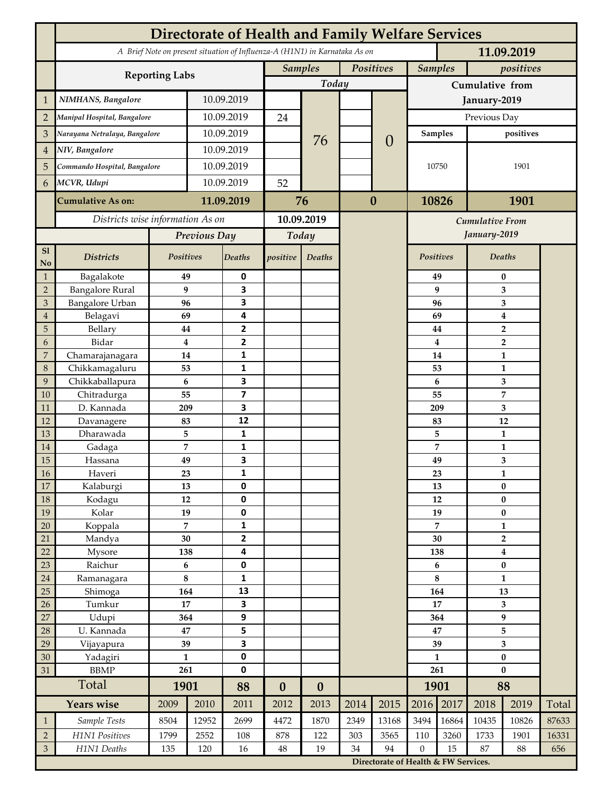|                 | <b>Directorate of Health and Family Welfare Services</b>                                 |                  |            |                         |                  |                  |           |                                      |                 |                |                           |                                  |       |  |
|-----------------|------------------------------------------------------------------------------------------|------------------|------------|-------------------------|------------------|------------------|-----------|--------------------------------------|-----------------|----------------|---------------------------|----------------------------------|-------|--|
|                 | A Brief Note on present situation of Influenza-A (H1N1) in Karnataka As on<br>11.09.2019 |                  |            |                         |                  |                  |           |                                      |                 |                |                           |                                  |       |  |
|                 | <b>Reporting Labs</b>                                                                    |                  |            |                         | <b>Samples</b>   |                  | Positives |                                      |                 | <b>Samples</b> |                           | positives                        |       |  |
|                 |                                                                                          |                  |            |                         |                  | Today            |           |                                      | Cumulative from |                |                           |                                  |       |  |
| $\mathbf{1}$    | NIMHANS, Bangalore                                                                       | 10.09.2019       |            |                         |                  |                  |           | January-2019                         |                 |                |                           |                                  |       |  |
| $\overline{2}$  | Manipal Hospital, Bangalore                                                              |                  |            | 10.09.2019              |                  |                  |           |                                      | Previous Day    |                |                           |                                  |       |  |
| 3               | Narayana Netralaya, Bangalore                                                            |                  |            | 10.09.2019              |                  |                  |           |                                      | Samples         |                | positives                 |                                  |       |  |
| $\overline{4}$  | NIV, Bangalore                                                                           |                  | 10.09.2019 |                         |                  | 76               |           | $\overline{0}$                       |                 |                |                           |                                  |       |  |
| 5               | Commando Hospital, Bangalore                                                             |                  | 10.09.2019 |                         |                  |                  |           |                                      | 10750           |                | 1901                      |                                  |       |  |
| 6               | MCVR, Udupi                                                                              |                  | 10.09.2019 |                         | 52               |                  |           |                                      |                 |                |                           |                                  |       |  |
|                 |                                                                                          |                  |            |                         |                  |                  |           |                                      |                 |                |                           |                                  |       |  |
|                 | <b>Cumulative As on:</b>                                                                 |                  | 11.09.2019 |                         | 76               |                  |           | $\bf{0}$                             |                 | 1901<br>10826  |                           |                                  |       |  |
|                 | Districts wise information As on                                                         |                  |            | 10.09.2019              |                  |                  |           | <b>Cumulative From</b>               |                 |                |                           |                                  |       |  |
|                 |                                                                                          | Previous Day     |            | Today                   |                  |                  |           |                                      |                 |                | January-2019              |                                  |       |  |
| S1<br>No        | <b>Districts</b>                                                                         | Positives        |            | Deaths                  | positive         | Deaths           |           |                                      | Positives       |                |                           | Deaths                           |       |  |
| $\mathbf{1}$    | Bagalakote                                                                               | 49               |            | 0                       |                  |                  |           |                                      |                 | 49             |                           | 0                                |       |  |
| $\overline{2}$  | <b>Bangalore Rural</b>                                                                   | 9                |            | 3                       |                  |                  |           |                                      |                 | 9              | 3                         |                                  |       |  |
| 3               | Bangalore Urban                                                                          | 96               |            | 3                       |                  |                  |           |                                      |                 | 96             | 3                         |                                  |       |  |
| $\overline{4}$  | Belagavi                                                                                 | 69               |            | 4                       |                  |                  |           |                                      |                 | 69             |                           | $\boldsymbol{4}$                 |       |  |
| 5<br>6          | Bellary<br>Bidar                                                                         | 44<br>$\bf{4}$   |            | 2<br>$\mathbf{2}$       |                  |                  |           |                                      |                 | 44<br>4        |                           | $\overline{2}$<br>$\overline{2}$ |       |  |
| 7               | Chamarajanagara                                                                          | 14               |            | 1                       |                  |                  |           |                                      |                 | 14             |                           | 1                                |       |  |
| 8               | Chikkamagaluru                                                                           | 53               |            | 1                       |                  |                  |           |                                      |                 | 53             |                           | 1                                |       |  |
| 9               | Chikkaballapura                                                                          | 6                |            | 3                       |                  |                  |           |                                      |                 | 6              |                           | 3                                |       |  |
| 10              | Chitradurga                                                                              | 55               |            | $\overline{\mathbf{z}}$ |                  |                  |           |                                      |                 | 55             |                           | 7                                |       |  |
| 11              | D. Kannada                                                                               | 209              |            | 3                       |                  |                  |           |                                      |                 | 209            |                           | 3                                |       |  |
| 12              | Davanagere                                                                               | 83               |            | 12                      |                  |                  |           |                                      | 83              |                |                           | 12                               |       |  |
| 13              | Dharawada                                                                                | 5                |            | 1                       |                  |                  |           |                                      |                 | 5              |                           | $\mathbf{1}$                     |       |  |
| 14              | Gadaga                                                                                   | 7                |            | 1<br>3                  |                  |                  |           |                                      |                 | 7              |                           | 1                                |       |  |
| 15<br><b>16</b> | Hassana<br>Haveri                                                                        | 49<br>23         |            | 1                       |                  |                  |           |                                      |                 | 49<br>23       |                           | 3<br>1                           |       |  |
| 17              | Kalaburgi                                                                                | 13               |            | 0                       |                  |                  |           |                                      |                 | 13             |                           | $\pmb{0}$                        |       |  |
| 18              | Kodagu                                                                                   | 12               |            | $\pmb{0}$               |                  |                  |           |                                      |                 | 12             |                           | $\pmb{0}$                        |       |  |
| 19              | Kolar                                                                                    | 19               |            | 0                       |                  |                  |           |                                      |                 | 19             | $\pmb{0}$                 |                                  |       |  |
| 20              | Koppala                                                                                  | $\overline{7}$   |            | 1                       |                  |                  |           |                                      |                 | 7              |                           | $\mathbf{1}$                     |       |  |
| 21              | Mandya                                                                                   | $30\,$           |            | 2                       |                  |                  |           |                                      | 30              |                | $\mathbf{2}$              |                                  |       |  |
| 22              | Mysore                                                                                   | 138              |            | 4                       |                  |                  |           |                                      | 138             |                | $\boldsymbol{4}$          |                                  |       |  |
| 23              | Raichur                                                                                  | $\bf 6$          |            | $\pmb{0}$               |                  |                  |           |                                      | 6<br>8          |                | $\pmb{0}$<br>$\mathbf{1}$ |                                  |       |  |
| $24\,$<br>25    | Ramanagara<br>Shimoga                                                                    | $\bf 8$<br>164   |            | 1<br>13                 |                  |                  |           |                                      | 164             |                | 13                        |                                  |       |  |
| 26              | Tumkur                                                                                   | 17               |            | 3                       |                  |                  |           |                                      | 17              |                | 3                         |                                  |       |  |
| 27              | Udupi                                                                                    | 364              |            | 9                       |                  |                  |           |                                      |                 | 364            |                           | $\boldsymbol{9}$                 |       |  |
| 28              | U. Kannada                                                                               | $\bf 47$         |            | 5                       |                  |                  |           |                                      | 47              |                | 5                         |                                  |       |  |
| 29              | Vijayapura                                                                               | 39               |            | 3                       |                  |                  |           |                                      | 39              |                | $\overline{\mathbf{3}}$   |                                  |       |  |
| 30              | Yadagiri                                                                                 | $\mathbf{1}$     |            | 0                       |                  |                  |           |                                      | $\mathbf{1}$    |                | $\pmb{0}$                 |                                  |       |  |
| 31              | <b>BBMP</b>                                                                              | 261              |            | 0                       |                  |                  |           |                                      | 261             |                | $\bf{0}$                  |                                  |       |  |
|                 | Total                                                                                    | 1901             |            | 88                      | $\boldsymbol{0}$ | $\boldsymbol{0}$ |           |                                      |                 | 1901           |                           | 88                               |       |  |
|                 | <b>Years wise</b>                                                                        | 2009             | 2010       | 2011                    | 2012             | 2013             | 2014      | 2015                                 | 2016            | 2017           | 2018                      | 2019                             | Total |  |
| $\mathbf{1}$    | Sample Tests                                                                             | 8504             | 12952      | 2699                    | 4472             | 1870             | 2349      | 13168                                | 3494            | 16864          | 10435                     | 10826                            | 87633 |  |
| $\overline{2}$  | H1N1 Positives                                                                           | 1799             | 2552       | 108                     | 878              | 122              | 303       | 3565                                 | 110             | 3260           | 1733                      | 1901                             | 16331 |  |
| $\mathfrak{Z}$  | H1N1 Deaths                                                                              | 135<br>120<br>16 |            | $48\,$                  | 19               | 34               | 94        | $\boldsymbol{0}$                     | 15              | 87<br>88       |                           | 656                              |       |  |
|                 |                                                                                          |                  |            |                         |                  |                  |           | Directorate of Health & FW Services. |                 |                |                           |                                  |       |  |